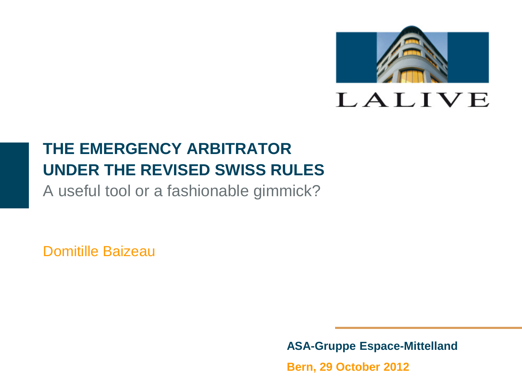

#### **THE EMERGENCY ARBITRATOR UNDER THE REVISED SWISS RULES**

A useful tool or a fashionable gimmick?

Domitille Baizeau

**ASA-Gruppe Espace-Mittelland**

**Bern, 29 October 2012**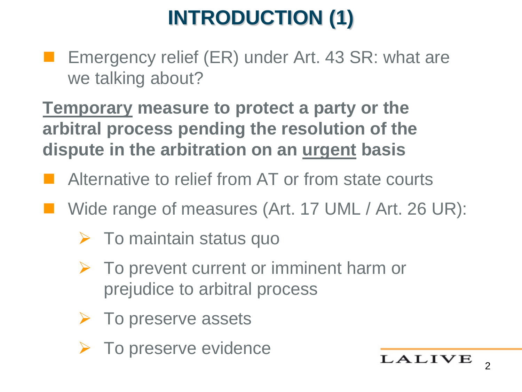# **INTRODUCTION (1)**

 Emergency relief (ER) under Art. 43 SR: what are we talking about?

**Temporary measure to protect a party or the arbitral process pending the resolution of the dispute in the arbitration on an urgent basis**

- Alternative to relief from AT or from state courts
- Wide range of measures (Art. 17 UML / Art. 26 UR):
	- $\triangleright$  To maintain status quo
	- $\triangleright$  To prevent current or imminent harm or prejudice to arbitral process
	- $\triangleright$  To preserve assets
	- $\triangleright$  To preserve evidence

LALIVE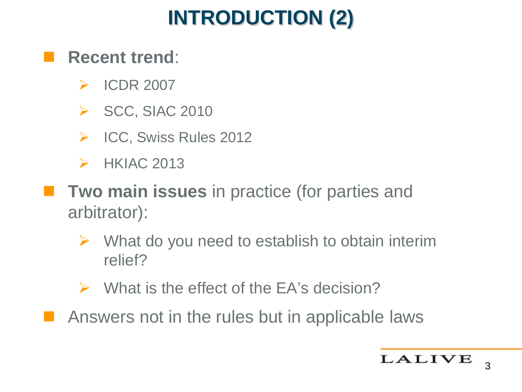# **INTRODUCTION (2)**

#### **Recent trend**:

- $\triangleright$  ICDR 2007
- $\triangleright$  SCC, SIAC 2010
- ▶ ICC, Swiss Rules 2012
- $\triangleright$  HKIAC 2013
- **Two main issues** in practice (for parties and arbitrator):
	- $\triangleright$  What do you need to establish to obtain interim relief?
	- $\triangleright$  What is the effect of the EA's decision?
- Answers not in the rules but in applicable laws

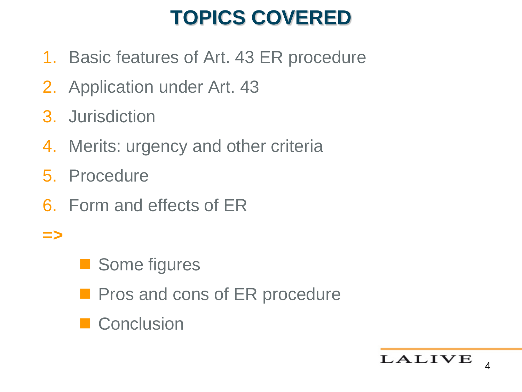## **TOPICS COVERED**

- 1. Basic features of Art. 43 ER procedure
- 2. Application under Art. 43
- 3. Jurisdiction
- 4. Merits: urgency and other criteria
- 5. Procedure
- 6. Form and effects of ER
- **=>**
- Some figures
- **Pros and cons of ER procedure**
- Conclusion

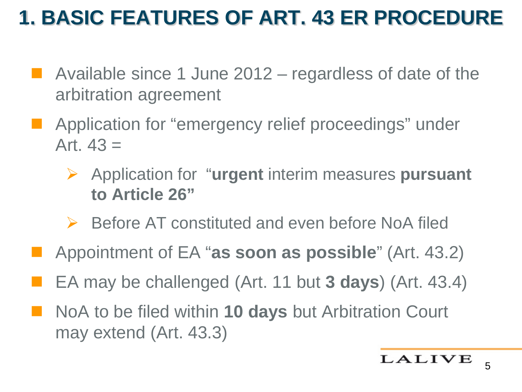## **1. BASIC FEATURES OF ART. 43 ER PROCEDURE**

- Available since 1 June 2012 regardless of date of the arbitration agreement
- **Application for "emergency relief proceedings" under** Art.  $43 =$ 
	- Application for "**urgent** interim measures **pursuant to Article 26"**
	- **►** Before AT constituted and even before NoA filed
- Appointment of EA "**as soon as possible**" (Art. 43.2)
- EA may be challenged (Art. 11 but **3 days**) (Art. 43.4)
- NoA to be filed within **10 days** but Arbitration Court may extend (Art. 43.3)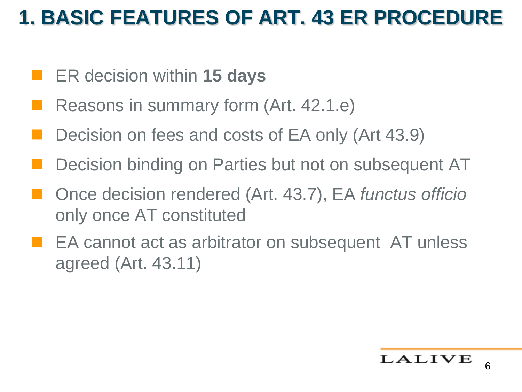### **1. BASIC FEATURES OF ART. 43 ER PROCEDURE**

- ER decision within **15 days**
- Reasons in summary form (Art. 42.1.e)
- Decision on fees and costs of EA only (Art 43.9)
- Decision binding on Parties but not on subsequent AT
- Once decision rendered (Art. 43.7), EA *functus officio*  only once AT constituted
- **EX** EA cannot act as arbitrator on subsequent AT unless agreed (Art. 43.11)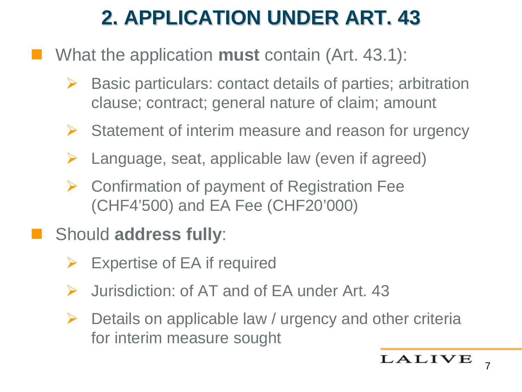# **2. APPLICATION UNDER ART. 43**

- What the application **must** contain (Art. 43.1):
	- $\triangleright$  Basic particulars: contact details of parties; arbitration clause; contract; general nature of claim; amount
	- $\triangleright$  Statement of interim measure and reason for urgency
	- $\triangleright$  Language, seat, applicable law (even if agreed)
	- $\triangleright$  Confirmation of payment of Registration Fee (CHF4'500) and EA Fee (CHF20'000)
	- Should **address fully**:
		- $\triangleright$  Expertise of EA if required
		- **►** Jurisdiction: of AT and of EA under Art. 43
		- $\triangleright$  Details on applicable law / urgency and other criteria for interim measure sought

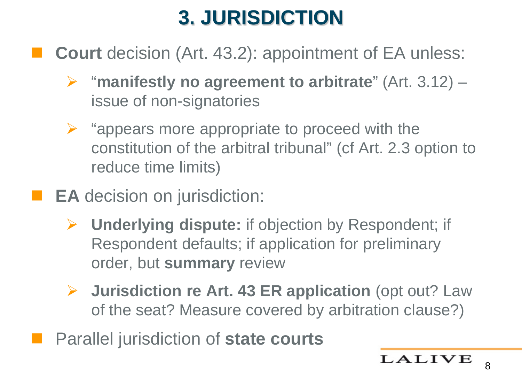## **3. JURISDICTION**

- **Court** decision (Art. 43.2): appointment of EA unless:
	- "**manifestly no agreement to arbitrate**" (Art. 3.12) issue of non-signatories
	- $\triangleright$  "appears more appropriate to proceed with the constitution of the arbitral tribunal" (cf Art. 2.3 option to reduce time limits)
- **EA** decision on jurisdiction:
	- **Underlying dispute:** if objection by Respondent; if Respondent defaults; if application for preliminary order, but **summary** review
	- **Jurisdiction re Art. 43 ER application** (opt out? Law of the seat? Measure covered by arbitration clause?)
	- Parallel jurisdiction of **state courts**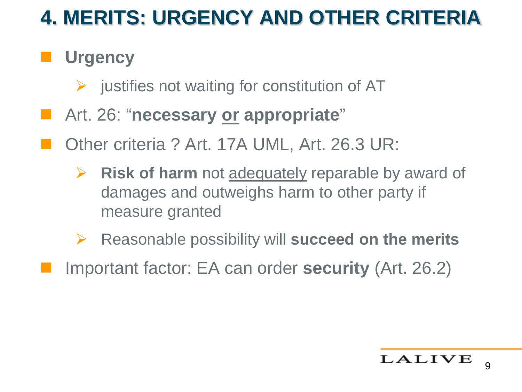## **4. MERITS: URGENCY AND OTHER CRITERIA**

#### **Urgency**

- justifies not waiting for constitution of AT
- Art. 26: "**necessary or appropriate**"
- Other criteria ? Art. 17A UML, Art. 26.3 UR:
	- **EXET A Risk of harm** not adequately reparable by award of damages and outweighs harm to other party if measure granted
	- Reasonable possibility will **succeed on the merits**
	- Important factor: EA can order **security** (Art. 26.2)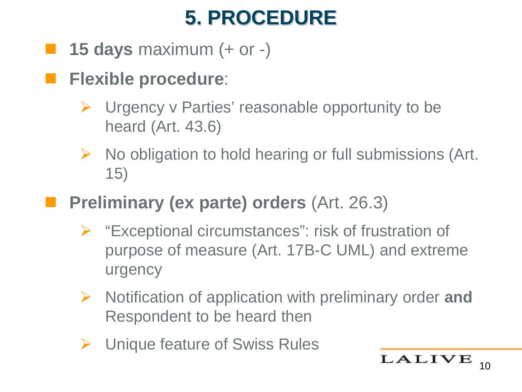## **5. PROCEDURE**

#### **15 days** maximum (+ or -)

**Flexible procedure**:

- $\triangleright$  Urgency v Parties' reasonable opportunity to be heard (Art. 43.6)
- $\triangleright$  No obligation to hold hearing or full submissions (Art. 15)

#### **Preliminary (ex parte) orders** (Art. 26.3)

- "Exceptional circumstances": risk of frustration of purpose of measure (Art. 17B-C UML) and extreme urgency
- Notification of application with preliminary order **and** Respondent to be heard then
- **▶ Unique feature of Swiss Rules**

LALIVE 10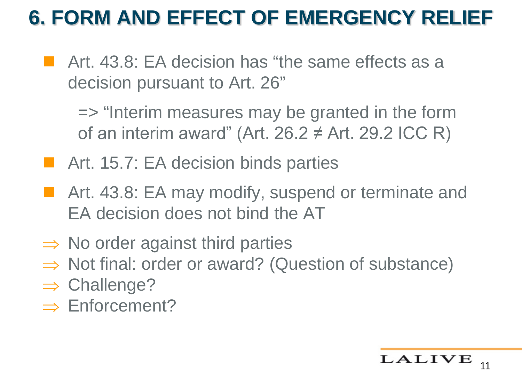### **6. FORM AND EFFECT OF EMERGENCY RELIEF**

**E** Art. 43.8: EA decision has "the same effects as a decision pursuant to Art. 26"

=> "Interim measures may be granted in the form of an interim award" (Art. 26.2  $\neq$  Art. 29.2 ICC R)

**Art. 15.7: EA decision binds parties** 

- Art. 43.8: EA may modify, suspend or terminate and EA decision does not bind the AT
- $\Rightarrow$  No order against third parties
- ⇒ Not final: order or award? (Question of substance)
- $\Rightarrow$  Challenge?
- ⇒ Enforcement?

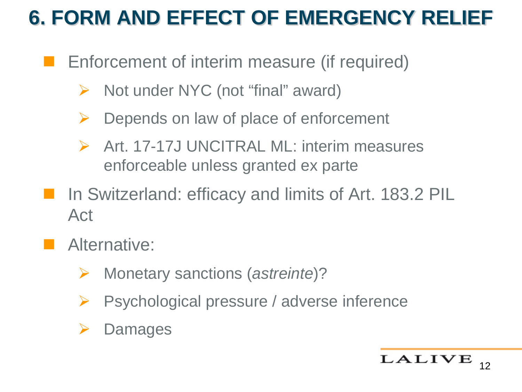## **6. FORM AND EFFECT OF EMERGENCY RELIEF**

- Enforcement of interim measure (if required)
	- $\triangleright$  Not under NYC (not "final" award)
	- $\triangleright$  Depends on law of place of enforcement
	- Art. 17-17J UNCITRAL ML: interim measures enforceable unless granted ex parte
- In Switzerland: efficacy and limits of Art. 183.2 PIL Act
- Alternative:
	- Monetary sanctions (*astreinte*)?
	- $\triangleright$  Psychological pressure / adverse inference
	- **▶ Damages**

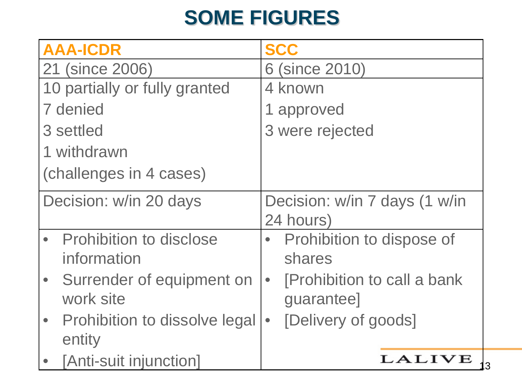## **SOME FIGURES**

| <b>AAA-ICDR</b>                | <b>SCC</b>                                |
|--------------------------------|-------------------------------------------|
| 21 (since 2006)                | 6 (since 2010)                            |
| 10 partially or fully granted  | 4 known                                   |
| 7 denied                       | 1 approved                                |
| 3 settled                      | 3 were rejected                           |
| 1 withdrawn                    |                                           |
| (challenges in 4 cases)        |                                           |
| Decision: w/in 20 days         | Decision: w/in 7 days (1 w/in             |
|                                | 24 hours)                                 |
| <b>Prohibition to disclose</b> | Prohibition to dispose of                 |
| information                    | shares                                    |
| Surrender of equipment on      | [Prohibition to call a bank]<br>$\bullet$ |
| work site                      | guarantee]                                |
| Prohibition to dissolve legal  | [Delivery of goods]<br>$\bullet$          |
| entity                         |                                           |
| [Anti-suit injunction]         | LALIVE                                    |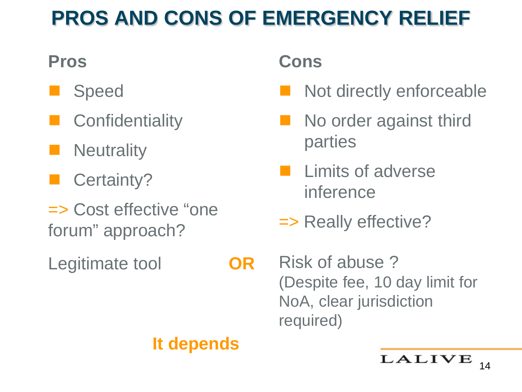## **PROS AND CONS OF EMERGENCY RELIEF**

#### **Pros**

- Speed
- **Confidentiality**
- **Neutrality**
- Certainty?
- => Cost effective "one forum" approach?
- Legitimate tool **OR**

#### **Cons**

- Not directly enforceable
- **No order against third** parties
- Limits of adverse inference
- => Really effective?

Risk of abuse ? (Despite fee, 10 day limit for NoA, clear jurisdiction required)

#### **It depends**

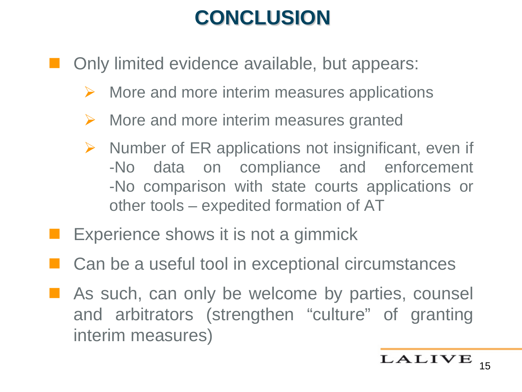## **CONCLUSION**

- Only limited evidence available, but appears:
	- $\triangleright$  More and more interim measures applications
	- $\triangleright$  More and more interim measures granted
	- $\triangleright$  Number of ER applications not insignificant, even if -No data on compliance and enforcement -No comparison with state courts applications or other tools – expedited formation of AT
- Experience shows it is not a gimmick
- Can be a useful tool in exceptional circumstances
- **As such, can only be welcome by parties, counsel** and arbitrators (strengthen "culture" of granting interim measures)

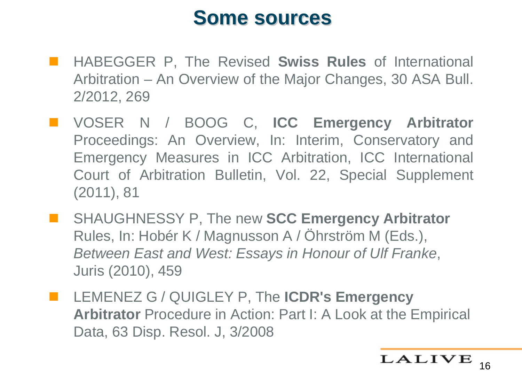#### **Some sources**

- HABEGGER P, The Revised **Swiss Rules** of International Arbitration – An Overview of the Major Changes, 30 ASA Bull. 2/2012, 269
- VOSER N / BOOG C, **ICC Emergency Arbitrator** Proceedings: An Overview, In: Interim, Conservatory and Emergency Measures in ICC Arbitration, ICC International Court of Arbitration Bulletin, Vol. 22, Special Supplement (2011), 81
- SHAUGHNESSY P, The new **SCC Emergency Arbitrator** Rules, In: Hobér K / Magnusson A / Öhrström M (Eds.), *Between East and West: Essays in Honour of Ulf Franke*, Juris (2010), 459
- **LEMENEZ G / QUIGLEY P, The ICDR's Emergency Arbitrator** Procedure in Action: Part I: A Look at the Empirical Data, 63 Disp. Resol. J, 3/2008

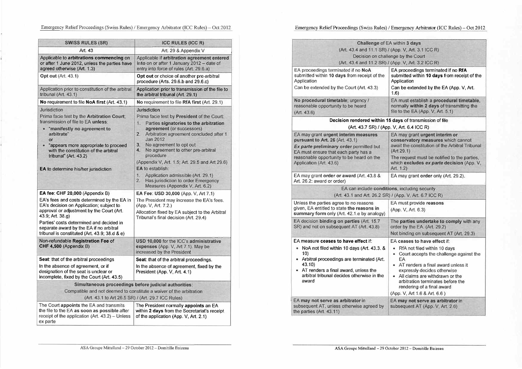Emergency Relief Proceedings (Swiss Rules) / Emergency Arbitrator (ICC Rules) - Oct 2012 Emergency Relief Proceedings (Swiss Rules) / Emergency Arbitrator (ICC Rules) - Oct 2012

| <b>SWISS RULES (SR)</b>                                                                                                                                                                                                                                                                                                             | <b>ICC RULES (ICC R)</b>                                                                                                                                                                                                                                                                                                                                                                                                                                                                                 |
|-------------------------------------------------------------------------------------------------------------------------------------------------------------------------------------------------------------------------------------------------------------------------------------------------------------------------------------|----------------------------------------------------------------------------------------------------------------------------------------------------------------------------------------------------------------------------------------------------------------------------------------------------------------------------------------------------------------------------------------------------------------------------------------------------------------------------------------------------------|
| Art. 43                                                                                                                                                                                                                                                                                                                             | Art. 29 & Appendix V                                                                                                                                                                                                                                                                                                                                                                                                                                                                                     |
| Applicable to arbitrations commencing on<br>or after 1 June 2012, unless the parties have<br>agreed otherwise (Art. 1.3)                                                                                                                                                                                                            | Applicable if arbitration agreement entered<br>into on or after 1 January 2012 - date of<br>entry into force of rules (Art. 29.6.a)                                                                                                                                                                                                                                                                                                                                                                      |
| <b>Opt out (Art. 43.1)</b>                                                                                                                                                                                                                                                                                                          | Opt out or choice of another pre-arbitral<br>procedure (Arts. 29.6.b and 29.6.c)                                                                                                                                                                                                                                                                                                                                                                                                                         |
| Application prior to constitution of the arbitral<br>tribunal (Art. 43.1)                                                                                                                                                                                                                                                           | Application prior to transmission of the file to<br>the arbitral tribunal (Art. 29.1)                                                                                                                                                                                                                                                                                                                                                                                                                    |
| No requirement to file NoA first (Art. 43.1)                                                                                                                                                                                                                                                                                        | No requirement to file RfA first (Art. 29.1)                                                                                                                                                                                                                                                                                                                                                                                                                                                             |
| Jurisdiction<br>Prima facie test by the Arbitration Court;<br>transmission of file to EA unless:<br>"manifestly no agreement to<br>arbitrate"<br>Ωr<br>"appears more appropriate to proceed<br>with the constitution of the arbitral<br>tribunal" (Art. 43.2)<br><b>EA</b> to determine his/her jurisdiction                        | Jurisdiction<br>Prima facie test by President of the Court:<br>Parties signatories to the arbitration<br>1.<br>agreement (or successors)<br>2.<br>Arbitration agreement concluded after 1<br>Jan 2012<br>No agreement to opt out<br>3.<br>No agreement to other pre-arbitral<br>4.<br>procedure<br>(Appendix V, Art. 1.5; Art. 29.5 and Art 29.6)<br><b>EA</b> to establish:<br>Application admissible (Art. 29.1)<br>1.<br>2.<br>Has jurisdiction to order Emergency<br>Measures (Appendix V, Art. 6.2) |
| EA fee: CHF 20,000 (Appendix B)<br>EA's fees and costs determined by the EA in<br>EA's decision on Application; subject to<br>approval or adjustment by the Court (Art.<br>43.9; Art. 38.g)<br>Parties' costs determined and decided in<br>separate award by the EA if no arbitral<br>tribunal is constituted (Art. 43.9; 38.d & e) | <b>EA Fee: USD 30,000 (App. V, Art 7.1)</b><br>The President may increase the EA's fees.<br>(App. V, Art. 7.2.)<br>Allocation fixed by EA subject to the Arbitral<br>Tribunal's final decision (Art. 29.4)                                                                                                                                                                                                                                                                                               |
| Non-refundable Registration Fee of<br>CHF 4,500 (Appendix B)                                                                                                                                                                                                                                                                        | USD 10,000 for the ICC's administrative<br>expenses (App. V, Art 7.1). May be<br>increased by the President                                                                                                                                                                                                                                                                                                                                                                                              |
| Seat: that of the arbitral proceedings<br>In the absence of agreement, or if<br>designation of the seat is unclear or<br>incomplete, fixed by the Court (Art. 43.5)                                                                                                                                                                 | Seat: that of the arbitral proceedings.<br>In the absence of agreement, fixed by the<br>President (App. V, Art. 4.1)                                                                                                                                                                                                                                                                                                                                                                                     |
| Simultaneous proceedings before judicial authorities:<br>Compatible and not deemed to constitute a waiver of the arbitration<br>(Art. 43.1 to Art 26.5 SR) / (Art. 29.7 ICC Rules)                                                                                                                                                  |                                                                                                                                                                                                                                                                                                                                                                                                                                                                                                          |
| The Court appoints the EA and transmits<br>the file to the EA as soon as possible after<br>receipt of the application (Art. 43.2) - Unless<br>ex parte                                                                                                                                                                              | The President normally appoints an EA<br>within 2 days from the Secretariat's receipt<br>of the application (App. V, Art. 2.1)                                                                                                                                                                                                                                                                                                                                                                           |

| Challenge of EA within 3 days                                                                                                                                                                                                                         |                                                                                                                                                                                                                                                                                                                                  |  |
|-------------------------------------------------------------------------------------------------------------------------------------------------------------------------------------------------------------------------------------------------------|----------------------------------------------------------------------------------------------------------------------------------------------------------------------------------------------------------------------------------------------------------------------------------------------------------------------------------|--|
| (Art. 43.4 and 11.1 SR) / (App. V, Art. 3.1 ICC R)                                                                                                                                                                                                    |                                                                                                                                                                                                                                                                                                                                  |  |
| Decision on challenge by the Court                                                                                                                                                                                                                    |                                                                                                                                                                                                                                                                                                                                  |  |
| (Art. 43.4 and 11.2 SR) / (App. V, Art. 3.2 ICC R)                                                                                                                                                                                                    |                                                                                                                                                                                                                                                                                                                                  |  |
| EA proceedings terminated if no NoA<br>submitted within 10 days from receipt of the<br>Application                                                                                                                                                    | EA proceedings terminated if no RfA<br>submitted within 10 days from receipt of the<br>Application                                                                                                                                                                                                                               |  |
| Can be extended by the Court (Art. 43.3)                                                                                                                                                                                                              | Can be extended by the EA (App. V, Art.<br>1.6)                                                                                                                                                                                                                                                                                  |  |
| No procedural timetable; urgency /<br>reasonable opportunity to be heard<br>(Art. 43.6)                                                                                                                                                               | EA must establish a procedural timetable,<br>normally within 2 days of transmitting the<br>file to the EA (App. V, Art. 5.1)                                                                                                                                                                                                     |  |
| Decision rendered within 15 days of transmission of file<br>(Art. 43.7 SR) / (App. V, Art. 6.4 ICC R)                                                                                                                                                 |                                                                                                                                                                                                                                                                                                                                  |  |
| EA may grant urgent interim measures<br>pursuant to Art. 26 (Art. 43.1)<br>Ex parte preliminary order permitted but<br>EA must ensure that each party has a<br>reasonable opportunity to be heard on the<br>Application (Art. 43.6)                   | EA may grant urgent interim or<br>conservatory measures which cannot<br>await the constitution of the Arbitral Tribunal<br>(Art 29.1)<br>The request must be notified to the parties,<br>which excludes ex parte decision (App. V.<br>Art. 1.2)                                                                                  |  |
| EA may grant order or award (Art. 43.8 &<br>Art. 26.2: award or order)                                                                                                                                                                                | EA may grant order only (Art. 29.2).                                                                                                                                                                                                                                                                                             |  |
|                                                                                                                                                                                                                                                       | EA can include conditions, including security                                                                                                                                                                                                                                                                                    |  |
|                                                                                                                                                                                                                                                       | (Art. 43.1 and Art. 26.2 SR) / (App. V, Art. 6.7 ICC R)                                                                                                                                                                                                                                                                          |  |
| Unless the parties agree to no reasons<br>given, EA entitled to state the reasons in<br>summary form only (Art. 42.1.e by analogy)                                                                                                                    | EA must provide reasons<br>(App. V, Art. 6.3)                                                                                                                                                                                                                                                                                    |  |
| EA decision binding on parties (Art. 15.7<br>SR) and not on subsequent AT (Art. 43.8)                                                                                                                                                                 | The parties undertake to comply with any<br>order by the EA. (Art. 29.2)<br>Not binding on subsequent AT (Art. 29.3)                                                                                                                                                                                                             |  |
| EA measure ceases to have effect if:<br>• NoA not filed within 10 days (Art. 43.3. &<br>10)<br>• Arbitral proceedings are terminated (Art.<br>43.10)<br>• AT renders a final award, unless the<br>arbitral tribunal decides otherwise in the<br>award | EA ceases to have effect if:<br>• RfA not filed within 10 days<br>• Court accepts the challenge against the<br>FA<br>• AT renders a final award unless it<br>expressly decides otherwise<br>• All claims are withdrawn or the<br>arbitration terminates before the<br>rendering of a final award<br>(App. V, Art 1.6 & Art. 6.6) |  |
| EA may not serve as arbitrator in<br>subsequent AT, unless otherwise agreed by<br>the parties (Art. 43.11)                                                                                                                                            | EA may not serve as arbitrator in<br>subsequent AT (App. V, Art. 2.6)                                                                                                                                                                                                                                                            |  |